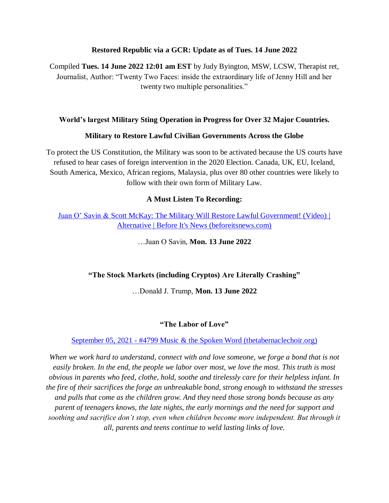#### **Restored Republic via a GCR: Update as of Tues. 14 June 2022**

Compiled **Tues. 14 June 2022 12:01 am EST** by Judy Byington, MSW, LCSW, Therapist ret, Journalist, Author: "Twenty Two Faces: inside the extraordinary life of Jenny Hill and her twenty two multiple personalities."

#### **World's largest Military Sting Operation in Progress for Over 32 Major Countries.**

#### **Military to Restore Lawful Civilian Governments Across the Globe**

To protect the US Constitution, the Military was soon to be activated because the US courts have refused to hear cases of foreign intervention in the 2020 Election. Canada, UK, EU, Iceland, South America, Mexico, African regions, Malaysia, plus over 80 other countries were likely to follow with their own form of Military Law.

#### **A Must Listen To Recording:**

Juan O" Savin & [Scott McKay: The Military Will Restore Lawful Government! \(Video\) |](https://beforeitsnews.com/alternative/2022/06/juan-o-savin-scott-mckay-military-will-restore-lawful-government-video-3774690.html)  [Alternative | Before It's News \(beforeitsnews.com\)](https://beforeitsnews.com/alternative/2022/06/juan-o-savin-scott-mckay-military-will-restore-lawful-government-video-3774690.html)

…Juan O Savin, **Mon. 13 June 2022**

#### **"The Stock Markets (including Cryptos) Are Literally Crashing"**

…Donald J. Trump, **Mon. 13 June 2022**

#### **"The Labor of Love"**

September 05, 2021 - [#4799 Music & the Spoken Word \(thetabernaclechoir.org\)](https://www.thetabernaclechoir.org/videos/september-05-2021-4799-music-and-the-spoken-word.html)

When we work hard to understand, connect with and love someone, we forge a bond that is not *easily broken. In the end, the people we labor over most, we love the most. This truth is most obvious in parents who feed, clothe, hold, soothe and tirelessly care for their helpless infant. In the fire of their sacrifices the forge an unbreakable bond, strong enough to withstand the stresses and pulls that come as the children grow. And they need those strong bonds because as any parent of teenagers knows, the late nights, the early mornings and the need for support and soothing and sacrifice don't stop, even when children become more independent. But through it all, parents and teens continue to weld lasting links of love.*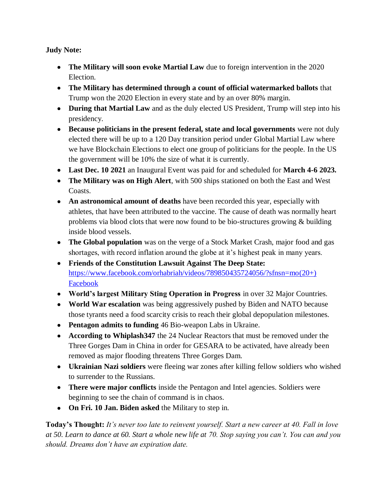## **Judy Note:**

- **The Military will soon evoke Martial Law** due to foreign intervention in the 2020 Election.
- **The Military has determined through a count of official watermarked ballots** that Trump won the 2020 Election in every state and by an over 80% margin.
- **During that Martial Law** and as the duly elected US President, Trump will step into his presidency.
- **Because politicians in the present federal, state and local governments** were not duly elected there will be up to a 120 Day transition period under Global Martial Law where we have Blockchain Elections to elect one group of politicians for the people. In the US the government will be 10% the size of what it is currently.
- **Last Dec. 10 2021** an Inaugural Event was paid for and scheduled for **March 4-6 2023.**
- **The Military was on High Alert**, with 500 ships stationed on both the East and West Coasts.
- **An astronomical amount of deaths** have been recorded this year, especially with athletes, that have been attributed to the vaccine. The cause of death was normally heart problems via blood clots that were now found to be bio-structures growing & building inside blood vessels.
- **The Global population** was on the verge of a Stock Market Crash, major food and gas shortages, with record inflation around the globe at it's highest peak in many years.
- **Friends of the Constitution Lawsuit Against The Deep State:** [https://www.facebook.com/orhabriah/videos/789850435724056/?sfnsn=mo\(20+\)](https://www.facebook.com/orhabriah/videos/789850435724056/?sfnsn=mo)  [Facebook](https://www.facebook.com/orhabriah/videos/789850435724056/?sfnsn=mo)
- **World's largest Military Sting Operation in Progress** in over 32 Major Countries.
- **World War escalation** was being aggressively pushed by Biden and NATO because those tyrants need a food scarcity crisis to reach their global depopulation milestones.
- **Pentagon admits to funding** 46 Bio-weapon Labs in Ukraine.
- **According to Whiplash347** the 24 Nuclear Reactors that must be removed under the Three Gorges Dam in China in order for GESARA to be activated, have already been removed as major flooding threatens Three Gorges Dam.
- **Ukrainian Nazi soldiers** were fleeing war zones after killing fellow soldiers who wished to surrender to the Russians.
- **There were major conflicts** inside the Pentagon and Intel agencies. Soldiers were beginning to see the chain of command is in chaos.
- **On Fri. 10 Jan. Biden asked** the Military to step in.

**Today's Thought:** *It's never too late to reinvent yourself. Start a new career at 40. Fall in love at 50. Learn to dance at 60. Start a whole new life at 70. Stop saying you can't. You can and you should. Dreams don't have an expiration date.*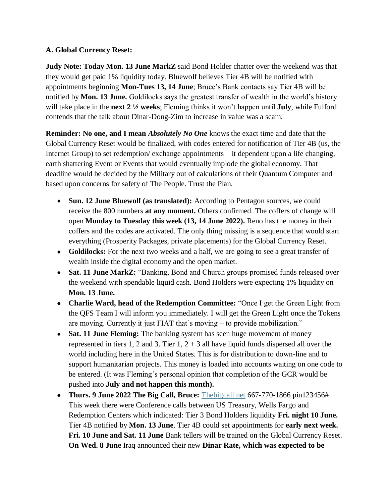#### **A. Global Currency Reset:**

**Judy Note: Today Mon. 13 June MarkZ** said Bond Holder chatter over the weekend was that they would get paid 1% liquidity today. Bluewolf believes Tier 4B will be notified with appointments beginning **Mon-Tues 13, 14 June**; Bruce"s Bank contacts say Tier 4B will be notified by **Mon. 13 June.** Goldilocks says the greatest transfer of wealth in the world"s history will take place in the **next 2 ½ weeks**; Fleming thinks it won"t happen until **July**, while Fulford contends that the talk about Dinar-Dong-Zim to increase in value was a scam.

**Reminder: No one, and I mean** *Absolutely No One* knows the exact time and date that the Global Currency Reset would be finalized, with codes entered for notification of Tier 4B (us, the Internet Group) to set redemption/ exchange appointments – it dependent upon a life changing, earth shattering Event or Events that would eventually implode the global economy. That deadline would be decided by the Military out of calculations of their Quantum Computer and based upon concerns for safety of The People. Trust the Plan.

- **Sun. 12 June Bluewolf (as translated):** According to Pentagon sources, we could receive the 800 numbers **at any moment.** Others confirmed. The coffers of change will open **Monday to Tuesday this week (13, 14 June 2022).** Reno has the money in their coffers and the codes are activated. The only thing missing is a sequence that would start everything (Prosperity Packages, private placements) for the Global Currency Reset.
- Goldilocks: For the next two weeks and a half, we are going to see a great transfer of wealth inside the digital economy and the open market.
- **Sat. 11 June MarkZ:** "Banking, Bond and Church groups promised funds released over the weekend with spendable liquid cash. Bond Holders were expecting 1% liquidity on **Mon. 13 June.**
- **Charlie Ward, head of the Redemption Committee:** "Once I get the Green Light from the QFS Team I will inform you immediately. I will get the Green Light once the Tokens are moving. Currently it just FIAT that's moving – to provide mobilization."
- Sat. 11 June Fleming: The banking system has seen huge movement of money represented in tiers 1, 2 and 3. Tier  $1, 2 + 3$  all have liquid funds dispersed all over the world including here in the United States. This is for distribution to down-line and to support humanitarian projects. This money is loaded into accounts waiting on one code to be entered. (It was Fleming's personal opinion that completion of the GCR would be pushed into **July and not happen this month).**
- **Thurs. 9 June 2022 The Big Call, Bruce:** [Thebigcall.net](http://www.thebigcall.net/) 667-770-1866 pin123456# This week there were Conference calls between US Treasury, Wells Fargo and Redemption Centers which indicated: Tier 3 Bond Holders liquidity **Fri. night 10 June.** Tier 4B notified by **Mon. 13 June**. Tier 4B could set appointments for **early next week. Fri. 10 June and Sat. 11 June** Bank tellers will be trained on the Global Currency Reset. **On Wed. 8 June** Iraq announced their new **Dinar Rate, which was expected to be**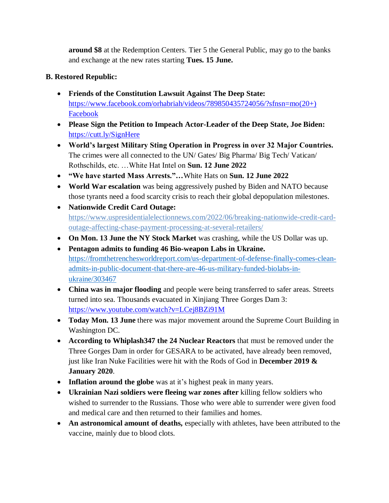**around \$8** at the Redemption Centers. Tier 5 the General Public, may go to the banks and exchange at the new rates starting **Tues. 15 June.**

# **B. Restored Republic:**

- **Friends of the Constitution Lawsuit Against The Deep State:**  [https://www.facebook.com/orhabriah/videos/789850435724056/?sfnsn=mo\(20+\)](https://www.facebook.com/orhabriah/videos/789850435724056/?sfnsn=mo)  [Facebook](https://www.facebook.com/orhabriah/videos/789850435724056/?sfnsn=mo)
- **Please Sign the Petition to Impeach Actor-Leader of the Deep State, Joe Biden:**  <https://cutt.ly/SignHere>
- **World's largest Military Sting Operation in Progress in over 32 Major Countries.** The crimes were all connected to the UN/ Gates/ Big Pharma/ Big Tech/ Vatican/ Rothschilds, etc. …White Hat Intel on **Sun. 12 June 2022**
- **"We have started Mass Arrests."…**White Hats on **Sun. 12 June 2022**
- **World War escalation** was being aggressively pushed by Biden and NATO because those tyrants need a food scarcity crisis to reach their global depopulation milestones.
- **Nationwide Credit Card Outage:**  [https://www.uspresidentialelectionnews.com/2022/06/breaking-nationwide-credit-card](https://www.uspresidentialelectionnews.com/2022/06/breaking-nationwide-credit-card-outage-affecting-chase-payment-processing-at-several-retailers/)[outage-affecting-chase-payment-processing-at-several-retailers/](https://www.uspresidentialelectionnews.com/2022/06/breaking-nationwide-credit-card-outage-affecting-chase-payment-processing-at-several-retailers/)
- **On Mon. 13 June the NY Stock Market** was crashing, while the US Dollar was up.
- **Pentagon admits to funding 46 Bio-weapon Labs in Ukraine.** [https://fromthetrenchesworldreport.com/us-department-of-defense-finally-comes-clean](https://fromthetrenchesworldreport.com/us-department-of-defense-finally-comes-clean-admits-in-public-document-that-there-are-46-us-military-funded-biolabs-in-ukraine/303467)[admits-in-public-document-that-there-are-46-us-military-funded-biolabs-in](https://fromthetrenchesworldreport.com/us-department-of-defense-finally-comes-clean-admits-in-public-document-that-there-are-46-us-military-funded-biolabs-in-ukraine/303467)[ukraine/303467](https://fromthetrenchesworldreport.com/us-department-of-defense-finally-comes-clean-admits-in-public-document-that-there-are-46-us-military-funded-biolabs-in-ukraine/303467)
- **China was in major flooding** and people were being transferred to safer areas. Streets turned into sea. Thousands evacuated in Xinjiang Three Gorges Dam 3: <https://www.youtube.com/watch?v=LCej8BZi91M>
- **Today Mon. 13 June** there was major movement around the Supreme Court Building in Washington DC.
- **According to Whiplash347 the 24 Nuclear Reactors** that must be removed under the Three Gorges Dam in order for GESARA to be activated, have already been removed, just like Iran Nuke Facilities were hit with the Rods of God in **December 2019 & January 2020**.
- Inflation around the globe was at it's highest peak in many years.
- **Ukrainian Nazi soldiers were fleeing war zones after** killing fellow soldiers who wished to surrender to the Russians. Those who were able to surrender were given food and medical care and then returned to their families and homes.
- An astronomical amount of deaths, especially with athletes, have been attributed to the vaccine, mainly due to blood clots.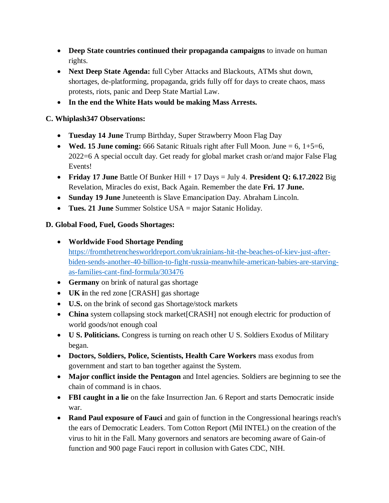- **Deep State countries continued their propaganda campaigns** to invade on human rights.
- **Next Deep State Agenda:** full Cyber Attacks and Blackouts, ATMs shut down, shortages, de-platforming, propaganda, grids fully off for days to create chaos, mass protests, riots, panic and Deep State Martial Law.
- **In the end the White Hats would be making Mass Arrests.**

## **C. Whiplash347 Observations:**

- **Tuesday 14 June** Trump Birthday, Super Strawberry Moon Flag Day
- **Wed. 15 June coming:** 666 Satanic Rituals right after Full Moon. June  $= 6$ ,  $1+5=6$ , 2022=6 A special occult day. Get ready for global market crash or/and major False Flag Events!
- **Friday 17 June** Battle Of Bunker Hill + 17 Days = July 4. **President Q: 6.17.2022** Big Revelation, Miracles do exist, Back Again. Remember the date **Fri. 17 June.**
- **Sunday 19 June** Juneteenth is Slave Emancipation Day. Abraham Lincoln.
- **Tues. 21 June** Summer Solstice USA = major Satanic Holiday.

## **D. Global Food, Fuel, Goods Shortages:**

- **Worldwide Food Shortage Pending** [https://fromthetrenchesworldreport.com/ukrainians-hit-the-beaches-of-kiev-just-after](https://fromthetrenchesworldreport.com/ukrainians-hit-the-beaches-of-kiev-just-after-biden-sends-another-40-billion-to-fight-russia-meanwhile-american-babies-are-starving-as-families-cant-find-formula/303476)[biden-sends-another-40-billion-to-fight-russia-meanwhile-american-babies-are-starving](https://fromthetrenchesworldreport.com/ukrainians-hit-the-beaches-of-kiev-just-after-biden-sends-another-40-billion-to-fight-russia-meanwhile-american-babies-are-starving-as-families-cant-find-formula/303476)[as-families-cant-find-formula/303476](https://fromthetrenchesworldreport.com/ukrainians-hit-the-beaches-of-kiev-just-after-biden-sends-another-40-billion-to-fight-russia-meanwhile-american-babies-are-starving-as-families-cant-find-formula/303476)
- **Germany** on brink of natural gas shortage
- **UK i**n the red zone [CRASH] gas shortage
- **U.S.** on the brink of second gas Shortage/stock markets
- **China** system collapsing stock market[CRASH] not enough electric for production of world goods/not enough coal
- **U S. Politicians.** Congress is turning on reach other U S. Soldiers Exodus of Military began.
- **Doctors, Soldiers, Police, Scientists, Health Care Workers** mass exodus from government and start to ban together against the System.
- **Major conflict inside the Pentagon** and Intel agencies. Soldiers are beginning to see the chain of command is in chaos.
- **FBI caught in a lie** on the fake Insurrection Jan. 6 Report and starts Democratic inside war.
- **Rand Paul exposure of Fauci** and gain of function in the Congressional hearings reach's the ears of Democratic Leaders. Tom Cotton Report (Mil INTEL) on the creation of the virus to hit in the Fall. Many governors and senators are becoming aware of Gain-of function and 900 page Fauci report in collusion with Gates CDC, NIH.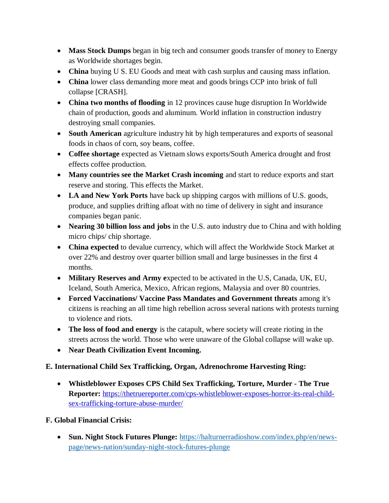- Mass Stock Dumps began in big tech and consumer goods transfer of money to Energy as Worldwide shortages begin.
- **China** buying U S. EU Goods and meat with cash surplus and causing mass inflation.
- **China** lower class demanding more meat and goods brings CCP into brink of full collapse [CRASH].
- **China two months of flooding** in 12 provinces cause huge disruption In Worldwide chain of production, goods and aluminum. World inflation in construction industry destroying small companies.
- **South American** agriculture industry hit by high temperatures and exports of seasonal foods in chaos of corn, soy beans, coffee.
- **Coffee shortage** expected as Vietnam slows exports/South America drought and frost effects coffee production.
- **Many countries see the Market Crash incoming** and start to reduce exports and start reserve and storing. This effects the Market.
- **LA and New York Ports** have back up shipping cargos with millions of U.S. goods, produce, and supplies drifting afloat with no time of delivery in sight and insurance companies began panic.
- **Nearing 30 billion loss and jobs** in the U.S. auto industry due to China and with holding micro chips/ chip shortage.
- **China expected** to devalue currency, which will affect the Worldwide Stock Market at over 22% and destroy over quarter billion small and large businesses in the first 4 months.
- **Military Reserves and Army e**xpected to be activated in the U.S, Canada, UK, EU, Iceland, South America, Mexico, African regions, Malaysia and over 80 countries.
- **Forced Vaccinations/ Vaccine Pass Mandates and Government threats** among it's citizens is reaching an all time high rebellion across several nations with protests turning to violence and riots.
- **The loss of food and energy** is the catapult, where society will create rioting in the streets across the world. Those who were unaware of the Global collapse will wake up.
- **Near Death Civilization Event Incoming.**

## **E. International Child Sex Trafficking, Organ, Adrenochrome Harvesting Ring:**

 **Whistleblower Exposes CPS Child Sex Trafficking, Torture, Murder - The True Reporter:** [https://thetruereporter.com/cps-whistleblower-exposes-horror-its-real-child](https://thetruereporter.com/cps-whistleblower-exposes-horror-its-real-child-sex-trafficking-torture-abuse-murder/)[sex-trafficking-torture-abuse-murder/](https://thetruereporter.com/cps-whistleblower-exposes-horror-its-real-child-sex-trafficking-torture-abuse-murder/)

## **F. Global Financial Crisis:**

 **Sun. Night Stock Futures Plunge:** [https://halturnerradioshow.com/index.php/en/news](https://halturnerradioshow.com/index.php/en/news-page/news-nation/sunday-night-stock-futures-plunge)[page/news-nation/sunday-night-stock-futures-plunge](https://halturnerradioshow.com/index.php/en/news-page/news-nation/sunday-night-stock-futures-plunge)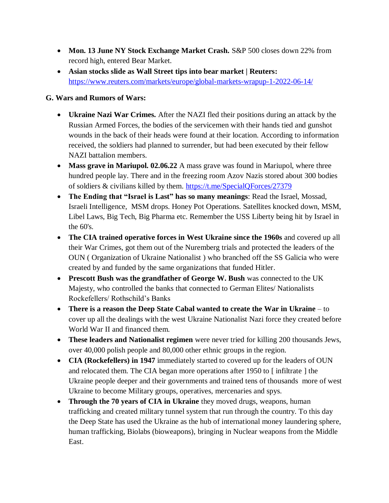- **Mon. 13 June NY Stock Exchange Market Crash.** S&P 500 closes down 22% from record high, entered Bear Market.
- **Asian stocks slide as Wall Street tips into bear market | Reuters:**  <https://www.reuters.com/markets/europe/global-markets-wrapup-1-2022-06-14/>

### **G. Wars and Rumors of Wars:**

- **Ukraine Nazi War Crimes.** After the NAZI fled their positions during an attack by the Russian Armed Forces, the bodies of the servicemen with their hands tied and gunshot wounds in the back of their heads were found at their location. According to information received, the soldiers had planned to surrender, but had been executed by their fellow NAZI battalion members.
- **Mass grave in Mariupol. 02.06.22** A mass grave was found in Mariupol, where three hundred people lay. There and in the freezing room Azov Nazis stored about 300 bodies of soldiers & civilians killed by them.<https://t.me/SpecialQForces/27379>
- **The Ending that "Israel is Last" has so many meanings**: Read the Israel, Mossad, Israeli Intelligence, MSM drops. Honey Pot Operations. Satellites knocked down, MSM, Libel Laws, Big Tech, Big Pharma etc. Remember the USS Liberty being hit by Israel in the 60's.
- **The CIA trained operative forces in West Ukraine since the 1960s** and covered up all their War Crimes, got them out of the Nuremberg trials and protected the leaders of the OUN ( Organization of Ukraine Nationalist ) who branched off the SS Galicia who were created by and funded by the same organizations that funded Hitler.
- **Prescott Bush was the grandfather of George W. Bush** was connected to the UK Majesty, who controlled the banks that connected to German Elites/ Nationalists Rockefellers/ Rothschild"s Banks
- **There is a reason the Deep State Cabal wanted to create the War in Ukraine** to cover up all the dealings with the west Ukraine Nationalist Nazi force they created before World War II and financed them.
- **These leaders and Nationalist regimen** were never tried for killing 200 thousands Jews, over 40,000 polish people and 80,000 other ethnic groups in the region.
- **CIA (Rockefellers) in 1947** immediately started to covered up for the leaders of OUN and relocated them. The CIA began more operations after 1950 to [ infiltrate ] the Ukraine people deeper and their governments and trained tens of thousands more of west Ukraine to become Military groups, operatives, mercenaries and spys.
- **Through the 70 years of CIA in Ukraine** they moved drugs, weapons, human trafficking and created military tunnel system that run through the country. To this day the Deep State has used the Ukraine as the hub of international money laundering sphere, human trafficking, Biolabs (bioweapons), bringing in Nuclear weapons from the Middle East.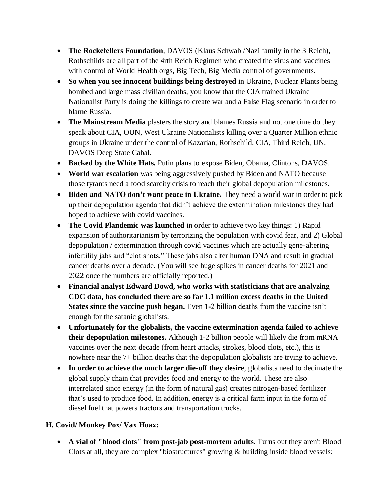- **The Rockefellers Foundation**, DAVOS (Klaus Schwab /Nazi family in the 3 Reich), Rothschilds are all part of the 4rth Reich Regimen who created the virus and vaccines with control of World Health orgs, Big Tech, Big Media control of governments.
- **So when you see innocent buildings being destroyed** in Ukraine, Nuclear Plants being bombed and large mass civilian deaths, you know that the CIA trained Ukraine Nationalist Party is doing the killings to create war and a False Flag scenario in order to blame Russia.
- **The Mainstream Media** plasters the story and blames Russia and not one time do they speak about CIA, OUN, West Ukraine Nationalists killing over a Quarter Million ethnic groups in Ukraine under the control of Kazarian, Rothschild, CIA, Third Reich, UN, DAVOS Deep State Cabal.
- **Backed by the White Hats,** Putin plans to expose Biden, Obama, Clintons, DAVOS.
- **World war escalation** was being aggressively pushed by Biden and NATO because those tyrants need a food scarcity crisis to reach their global depopulation milestones.
- **Biden and NATO don't want peace in Ukraine.** They need a world war in order to pick up their depopulation agenda that didn"t achieve the extermination milestones they had hoped to achieve with covid vaccines.
- **The Covid Plandemic was launched** in order to achieve two key things: 1) Rapid expansion of authoritarianism by terrorizing the population with covid fear, and 2) Global depopulation / extermination through covid vaccines which are actually gene-altering infertility jabs and "clot shots." These jabs also alter human DNA and result in gradual cancer deaths over a decade. (You will see huge spikes in cancer deaths for 2021 and 2022 once the numbers are officially reported.)
- **Financial analyst Edward Dowd, who works with statisticians that are analyzing CDC data, has concluded there are so far 1.1 million excess deaths in the United States since the vaccine push began.** Even 1-2 billion deaths from the vaccine isn't enough for the satanic globalists.
- **Unfortunately for the globalists, the vaccine extermination agenda failed to achieve their depopulation milestones.** Although 1-2 billion people will likely die from mRNA vaccines over the next decade (from heart attacks, strokes, blood clots, etc.), this is nowhere near the 7+ billion deaths that the depopulation globalists are trying to achieve.
- **In order to achieve the much larger die-off they desire**, globalists need to decimate the global supply chain that provides food and energy to the world. These are also interrelated since energy (in the form of natural gas) creates nitrogen-based fertilizer that"s used to produce food. In addition, energy is a critical farm input in the form of diesel fuel that powers tractors and transportation trucks.

## **H. Covid/ Monkey Pox/ Vax Hoax:**

 **A vial of "blood clots" from post-jab post-mortem adults.** Turns out they aren't Blood Clots at all, they are complex "biostructures" growing & building inside blood vessels: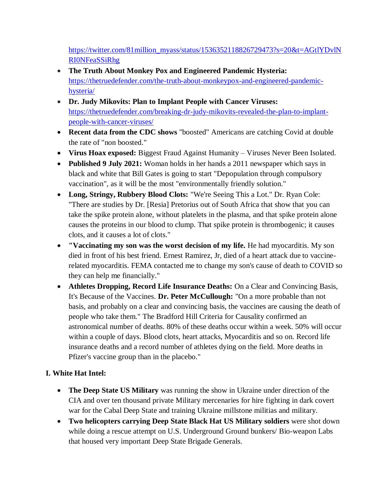[https://twitter.com/81million\\_myass/status/1536352118826729473?s=20&t=AGtlYDvlN](https://twitter.com/81million_myass/status/1536352118826729473?s=20&t=AGtlYDvlNRI0NFeaSSiRhg) [RI0NFeaSSiRhg](https://twitter.com/81million_myass/status/1536352118826729473?s=20&t=AGtlYDvlNRI0NFeaSSiRhg)

- **The Truth About Monkey Pox and Engineered Pandemic Hysteria:**  [https://thetruedefender.com/the-truth-about-monkeypox-and-engineered-pandemic](https://thetruedefender.com/the-truth-about-monkeypox-and-engineered-pandemic-hysteria/)[hysteria/](https://thetruedefender.com/the-truth-about-monkeypox-and-engineered-pandemic-hysteria/)
- **Dr. Judy Mikovits: Plan to Implant People with Cancer Viruses:**  [https://thetruedefender.com/breaking-dr-judy-mikovits-revealed-the-plan-to-implant](https://thetruedefender.com/breaking-dr-judy-mikovits-revealed-the-plan-to-implant-people-with-cancer-viruses/)[people-with-cancer-viruses/](https://thetruedefender.com/breaking-dr-judy-mikovits-revealed-the-plan-to-implant-people-with-cancer-viruses/)
- **Recent data from the CDC shows** "boosted" Americans are catching Covid at double the rate of "non boosted."
- **Virus Hoax exposed:** Biggest Fraud Against Humanity Viruses Never Been Isolated.
- **Published 9 July 2021:** Woman holds in her hands a 2011 newspaper which says in black and white that Bill Gates is going to start "Depopulation through compulsory vaccination", as it will be the most "environmentally friendly solution."
- **Long, Stringy, Rubbery Blood Clots:** "We're Seeing This a Lot." Dr. Ryan Cole: "There are studies by Dr. [Resia] Pretorius out of South Africa that show that you can take the spike protein alone, without platelets in the plasma, and that spike protein alone causes the proteins in our blood to clump. That spike protein is thrombogenic; it causes clots, and it causes a lot of clots."
- **"Vaccinating my son was the worst decision of my life.** He had myocarditis. My son died in front of his best friend. Ernest Ramirez, Jr, died of a heart attack due to vaccinerelated myocarditis. FEMA contacted me to change my son's cause of death to COVID so they can help me financially."
- **Athletes Dropping, Record Life Insurance Deaths:** On a Clear and Convincing Basis, It's Because of the Vaccines. **Dr. Peter McCullough:** "On a more probable than not basis, and probably on a clear and convincing basis, the vaccines are causing the death of people who take them." The Bradford Hill Criteria for Causality confirmed an astronomical number of deaths. 80% of these deaths occur within a week. 50% will occur within a couple of days. Blood clots, heart attacks, Myocarditis and so on. Record life insurance deaths and a record number of athletes dying on the field. More deaths in Pfizer's vaccine group than in the placebo."

# **I. White Hat Intel:**

- **The Deep State US Military** was running the show in Ukraine under direction of the CIA and over ten thousand private Military mercenaries for hire fighting in dark covert war for the Cabal Deep State and training Ukraine millstone militias and military.
- **Two helicopters carrying Deep State Black Hat US Military soldiers** were shot down while doing a rescue attempt on U.S. Underground Ground bunkers/ Bio-weapon Labs that housed very important Deep State Brigade Generals.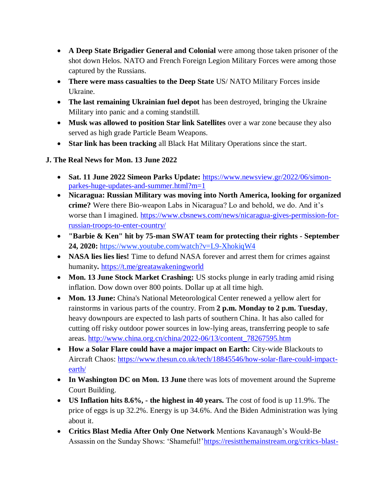- **A Deep State Brigadier General and Colonial** were among those taken prisoner of the shot down Helos. NATO and French Foreign Legion Military Forces were among those captured by the Russians.
- **There were mass casualties to the Deep State** US/ NATO Military Forces inside Ukraine.
- **The last remaining Ukrainian fuel depot** has been destroyed, bringing the Ukraine Military into panic and a coming standstill.
- **Musk was allowed to position Star link Satellites** over a war zone because they also served as high grade Particle Beam Weapons.
- **Star link has been tracking** all Black Hat Military Operations since the start.

# **J. The Real News for Mon. 13 June 2022**

- **Sat. 11 June 2022 Simeon Parks Update:** [https://www.newsview.gr/2022/06/simon](https://www.newsview.gr/2022/06/simon-parkes-huge-updates-and-summer.html?m=1)[parkes-huge-updates-and-summer.html?m=1](https://www.newsview.gr/2022/06/simon-parkes-huge-updates-and-summer.html?m=1)
- **Nicaragua: Russian Military was moving into North America, looking for organized crime?** Were there Bio-weapon Labs in Nicaragua? Lo and behold, we do. And it"s worse than I imagined. [https://www.cbsnews.com/news/nicaragua-gives-permission-for](https://www.cbsnews.com/news/nicaragua-gives-permission-for-russian-troops-to-enter-country/)[russian-troops-to-enter-country/](https://www.cbsnews.com/news/nicaragua-gives-permission-for-russian-troops-to-enter-country/)
- **"Barbie & Ken" hit by 75-man SWAT team for protecting their rights - September 24, 2020:** <https://www.youtube.com/watch?v=L9-XhokiqW4>
- **NASA lies lies!** Time to defund NASA forever and arrest them for crimes against humanity**.** <https://t.me/greatawakeningworld>
- **Mon. 13 June Stock Market Crashing:** US stocks plunge in early trading amid rising inflation. Dow down over 800 points. Dollar up at all time high.
- **Mon. 13 June:** China's National Meteorological Center renewed a yellow alert for rainstorms in various parts of the country. From **2 p.m. Monday to 2 p.m. Tuesday**, heavy downpours are expected to lash parts of southern China. It has also called for cutting off risky outdoor power sources in low-lying areas, transferring people to safe areas. [http://www.china.org.cn/china/2022-06/13/content\\_78267595.htm](http://www.china.org.cn/china/2022-06/13/content_78267595.htm)
- **How a Solar Flare could have a major impact on Earth:** City-wide Blackouts to Aircraft Chaos: [https://www.thesun.co.uk/tech/18845546/how-solar-flare-could-impact](https://www.thesun.co.uk/tech/18845546/how-solar-flare-could-impact-earth/)[earth/](https://www.thesun.co.uk/tech/18845546/how-solar-flare-could-impact-earth/)
- **In Washington DC on Mon. 13 June** there was lots of movement around the Supreme Court Building.
- **US Inflation hits 8.6%, - the highest in 40 years.** The cost of food is up 11.9%. The price of eggs is up 32.2%. Energy is up 34.6%. And the Biden Administration was lying about it.
- **Critics Blast Media After Only One Network** Mentions Kavanaugh"s Would-Be Assassin on the Sunday Shows: 'Shameful!' https://resistthemainstream.org/critics-blast-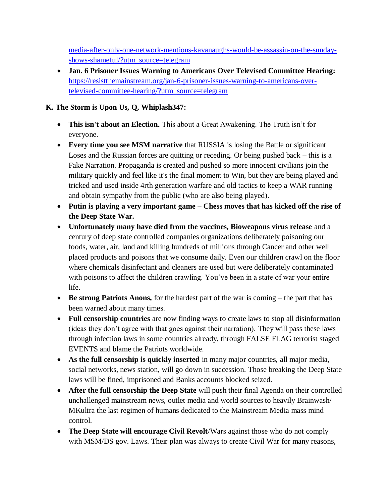[media-after-only-one-network-mentions-kavanaughs-would-be-assassin-on-the-sunday](https://resistthemainstream.org/critics-blast-media-after-only-one-network-mentions-kavanaughs-would-be-assassin-on-the-sunday-shows-shameful/?utm_source=telegram)[shows-shameful/?utm\\_source=telegram](https://resistthemainstream.org/critics-blast-media-after-only-one-network-mentions-kavanaughs-would-be-assassin-on-the-sunday-shows-shameful/?utm_source=telegram)

 **Jan. 6 Prisoner Issues Warning to Americans Over Televised Committee Hearing:** [https://resistthemainstream.org/jan-6-prisoner-issues-warning-to-americans-over](https://resistthemainstream.org/jan-6-prisoner-issues-warning-to-americans-over-televised-committee-hearing/?utm_source=telegram)[televised-committee-hearing/?utm\\_source=telegram](https://resistthemainstream.org/jan-6-prisoner-issues-warning-to-americans-over-televised-committee-hearing/?utm_source=telegram)

## **K. The Storm is Upon Us, Q, Whiplash347:**

- **This isn't about an Election.** This about a Great Awakening. The Truth isn't for everyone.
- **Every time you see MSM narrative** that RUSSIA is losing the Battle or significant Loses and the Russian forces are quitting or receding. Or being pushed back – this is a Fake Narration. Propaganda is created and pushed so more innocent civilians join the military quickly and feel like it's the final moment to Win, but they are being played and tricked and used inside 4rth generation warfare and old tactics to keep a WAR running and obtain sympathy from the public (who are also being played).
- **Putin is playing a very important game – Chess moves that has kicked off the rise of the Deep State War.**
- **Unfortunately many have died from the vaccines, Bioweapons virus release** and a century of deep state controlled companies organizations deliberately poisoning our foods, water, air, land and killing hundreds of millions through Cancer and other well placed products and poisons that we consume daily. Even our children crawl on the floor where chemicals disinfectant and cleaners are used but were deliberately contaminated with poisons to affect the children crawling. You've been in a state of war your entire life.
- **Be strong Patriots Anons,** for the hardest part of the war is coming the part that has been warned about many times.
- **Full censorship countries** are now finding ways to create laws to stop all disinformation (ideas they don"t agree with that goes against their narration). They will pass these laws through infection laws in some countries already, through FALSE FLAG terrorist staged EVENTS and blame the Patriots worldwide.
- **As the full censorship is quickly inserted** in many major countries, all major media, social networks, news station, will go down in succession. Those breaking the Deep State laws will be fined, imprisoned and Banks accounts blocked seized.
- **After the full censorship the Deep State** will push their final Agenda on their controlled unchallenged mainstream news, outlet media and world sources to heavily Brainwash/ MKultra the last regimen of humans dedicated to the Mainstream Media mass mind control.
- **The Deep State will encourage Civil Revolt**/Wars against those who do not comply with MSM/DS gov. Laws. Their plan was always to create Civil War for many reasons,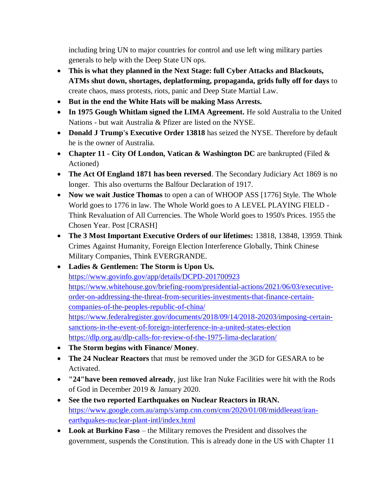including bring UN to major countries for control and use left wing military parties generals to help with the Deep State UN ops.

- **This is what they planned in the Next Stage: full Cyber Attacks and Blackouts, ATMs shut down, shortages, deplatforming, propaganda, grids fully off for days** to create chaos, mass protests, riots, panic and Deep State Martial Law.
- **But in the end the White Hats will be making Mass Arrests.**
- **In 1975 Gough Whitlam signed the LIMA Agreement.** He sold Australia to the United Nations - but wait Australia & Pfizer are listed on the NYSE.
- **Donald J Trump's Executive Order 13818** has seized the NYSE. Therefore by default he is the owner of Australia.
- **Chapter 11 - City Of London, Vatican & Washington DC** are bankrupted (Filed & Actioned)
- **The Act Of England 1871 has been reversed**. The Secondary Judiciary Act 1869 is no longer. This also overturns the Balfour Declaration of 1917.
- **Now we wait Justice Thomas** to open a can of WHOOP ASS [1776] Style. The Whole World goes to 1776 in law. The Whole World goes to A LEVEL PLAYING FIELD - Think Revaluation of All Currencies. The Whole World goes to 1950's Prices. 1955 the Chosen Year. Post [CRASH]
- **The 3 Most Important Executive Orders of our lifetimes:** 13818, 13848, 13959. Think Crimes Against Humanity, Foreign Election Interference Globally, Think Chinese Military Companies, Think EVERGRANDE.
- **Ladies & Gentlemen: The Storm is Upon Us.** <https://www.govinfo.gov/app/details/DCPD-201700923> [https://www.whitehouse.gov/briefing-room/presidential-actions/2021/06/03/executive](https://www.whitehouse.gov/briefing-room/presidential-actions/2021/06/03/executive-order-on-addressing-the-threat-from-securities-investments-that-finance-certain-companies-of-the-peoples-republic-of-china/)[order-on-addressing-the-threat-from-securities-investments-that-finance-certain](https://www.whitehouse.gov/briefing-room/presidential-actions/2021/06/03/executive-order-on-addressing-the-threat-from-securities-investments-that-finance-certain-companies-of-the-peoples-republic-of-china/)[companies-of-the-peoples-republic-of-china/](https://www.whitehouse.gov/briefing-room/presidential-actions/2021/06/03/executive-order-on-addressing-the-threat-from-securities-investments-that-finance-certain-companies-of-the-peoples-republic-of-china/) [https://www.federalregister.gov/documents/2018/09/14/2018-20203/imposing-certain](https://www.federalregister.gov/documents/2018/09/14/2018-20203/imposing-certain-sanctions-in-the-event-of-foreign-interference-in-a-united-states-election)[sanctions-in-the-event-of-foreign-interference-in-a-united-states-election](https://www.federalregister.gov/documents/2018/09/14/2018-20203/imposing-certain-sanctions-in-the-event-of-foreign-interference-in-a-united-states-election) <https://dlp.org.au/dlp-calls-for-review-of-the-1975-lima-declaration/>
- **The Storm begins with Finance/ Money**.
- **The 24 Nuclear Reactors** that must be removed under the 3GD for GESARA to be Activated.
- **"24"have been removed already**, just like Iran Nuke Facilities were hit with the Rods of God in December 2019 & January 2020.
- **See the two reported Earthquakes on Nuclear Reactors in IRAN.** [https://www.google.com.au/amp/s/amp.cnn.com/cnn/2020/01/08/middleeast/iran](https://www.google.com.au/amp/s/amp.cnn.com/cnn/2020/01/08/middleeast/iran-earthquakes-nuclear-plant-intl/index.html)[earthquakes-nuclear-plant-intl/index.html](https://www.google.com.au/amp/s/amp.cnn.com/cnn/2020/01/08/middleeast/iran-earthquakes-nuclear-plant-intl/index.html)
- **Look at Burkino Faso** the Military removes the President and dissolves the government, suspends the Constitution. This is already done in the US with Chapter 11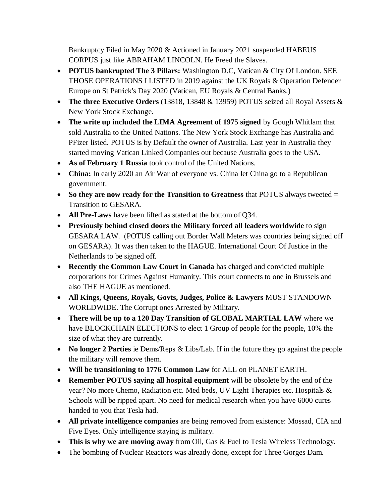Bankruptcy Filed in May 2020 & Actioned in January 2021 suspended HABEUS CORPUS just like ABRAHAM LINCOLN. He Freed the Slaves.

- **POTUS bankrupted The 3 Pillars:** Washington D.C, Vatican & City Of London. SEE THOSE OPERATIONS I LISTED in 2019 against the UK Royals & Operation Defender Europe on St Patrick's Day 2020 (Vatican, EU Royals & Central Banks.)
- **The three Executive Orders** (13818, 13848 & 13959) POTUS seized all Royal Assets & New York Stock Exchange.
- **The write up included the LIMA Agreement of 1975 signed** by Gough Whitlam that sold Australia to the United Nations. The New York Stock Exchange has Australia and PFizer listed. POTUS is by Default the owner of Australia. Last year in Australia they started moving Vatican Linked Companies out because Australia goes to the USA.
- **As of February 1 Russia** took control of the United Nations.
- **China:** In early 2020 an Air War of everyone vs. China let China go to a Republican government.
- **So they are now ready for the Transition to Greatness** that POTUS always tweeted = Transition to GESARA.
- **All Pre-Laws** have been lifted as stated at the bottom of Q34.
- **Previously behind closed doors the Military forced all leaders worldwide** to sign GESARA LAW. (POTUS calling out Border Wall Meters was countries being signed off on GESARA). It was then taken to the HAGUE. International Court Of Justice in the Netherlands to be signed off.
- **Recently the Common Law Court in Canada** has charged and convicted multiple corporations for Crimes Against Humanity. This court connects to one in Brussels and also THE HAGUE as mentioned.
- **All Kings, Queens, Royals, Govts, Judges, Police & Lawyers** MUST STANDOWN WORLDWIDE. The Corrupt ones Arrested by Military.
- **There will be up to a 120 Day Transition of GLOBAL MARTIAL LAW** where we have BLOCKCHAIN ELECTIONS to elect 1 Group of people for the people, 10% the size of what they are currently.
- **No longer 2 Parties** ie Dems/Reps & Libs/Lab. If in the future they go against the people the military will remove them.
- **Will be transitioning to 1776 Common Law** for ALL on PLANET EARTH.
- **Remember POTUS saying all hospital equipment** will be obsolete by the end of the year? No more Chemo, Radiation etc. Med beds, UV Light Therapies etc. Hospitals & Schools will be ripped apart. No need for medical research when you have 6000 cures handed to you that Tesla had.
- **All private intelligence companies** are being removed from existence: Mossad, CIA and Five Eyes. Only intelligence staying is military.
- **This is why we are moving away** from Oil, Gas & Fuel to Tesla Wireless Technology.
- The bombing of Nuclear Reactors was already done, except for Three Gorges Dam.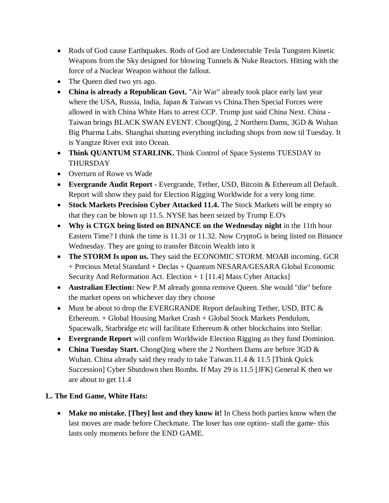- Rods of God cause Earthquakes. Rods of God are Undetectable Tesla Tungsten Kinetic Weapons from the Sky designed for blowing Tunnels & Nuke Reactors. Hitting with the force of a Nuclear Weapon without the fallout.
- The Queen died two yrs ago.
- **China is already a Republican Govt.** "Air War" already took place early last year where the USA, Russia, India, Japan & Taiwan vs China.Then Special Forces were allowed in with China White Hats to arrest CCP. Trump just said China Next. China - Taiwan brings BLACK SWAN EVENT. ChongQing, 2 Northern Dams, 3GD & Wuhan Big Pharma Labs. Shanghai shutting everything including shops from now til Tuesday. It is Yangtze River exit into Ocean.
- Think QUANTUM STARLINK. Think Control of Space Systems TUESDAY to THURSDAY
- Overturn of Rowe vs Wade
- **Evergrande Audit Report -** Evergrande, Tether, USD, Bitcoin & Ethereum all Default. Report will show they paid for Election Rigging Worldwide for a very long time.
- **Stock Markets Precision Cyber Attacked 11.4.** The Stock Markets will be empty so that they can be blown up 11.5. NYSE has been seized by Trump E.O's
- **Why is CTGX being listed on BINANCE on the Wednesday night** in the 11th hour Eastern Time? I think the time is 11.31 or 11.32. Now CryptoG is being listed on Binance Wednesday. They are going to transfer Bitcoin Wealth into it
- The **STORM Is upon us.** They said the ECONOMIC STORM. MOAB incoming. GCR + Precious Metal Standard + Declas + Quantum NESARA/GESARA Global Economic Security And Reformation Act. Election  $+1$  [11.4] Mass Cyber Attacks]
- **Australian Election:** New P.M already gonna remove Queen. She would "die" before the market opens on whichever day they choose
- Must be about to drop the EVERGRANDE Report defaulting Tether, USD, BTC  $&$ Ethereum. + Global Housing Market Crash + Global Stock Markets Pendulum, Spacewalk, Starbridge etc will facilitate Ethereum & other blockchains into Stellar.
- **Evergrande Report** will confirm Worldwide Election Rigging as they fund Dominion.
- **China Tuesday Start.** ChongQing where the 2 Northern Dams are before 3GD  $\&$ Wuhan. China already said they ready to take Taiwan.11.4 & 11.5 [Think Quick Succession] Cyber Shutdown then Bombs. If May 29 is 11.5 [JFK] General K then we are about to get 11.4

## **L. The End Game, White Hats:**

 **Make no mistake. [They] lost and they know it!** In Chess both parties know when the last moves are made before Checkmate. The loser has one option- stall the game- this lasts only moments before the END GAME.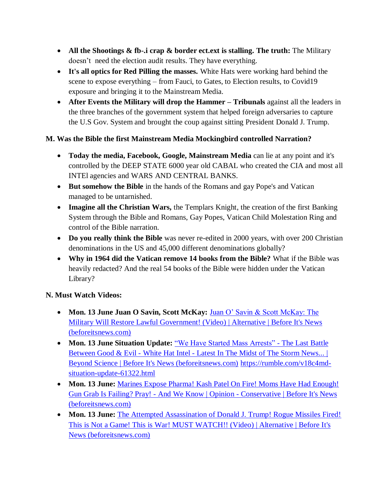- **All the Shootings & fb-.i crap & border ect.ext is stalling. The truth:** The Military doesn't need the election audit results. They have everything.
- **It's all optics for Red Pilling the masses.** White Hats were working hard behind the scene to expose everything – from Fauci, to Gates, to Election results, to Covid19 exposure and bringing it to the Mainstream Media.
- **After Events the Military will drop the Hammer – Tribunals** against all the leaders in the three branches of the government system that helped foreign adversaries to capture the U.S Gov. System and brought the coup against sitting President Donald J. Trump.

# **M. Was the Bible the first Mainstream Media Mockingbird controlled Narration?**

- **Today the media, Facebook, Google, Mainstream Media** can lie at any point and it's controlled by the DEEP STATE 6000 year old CABAL who created the CIA and most all INTEl agencies and WARS AND CENTRAL BANKS.
- **But somehow the Bible** in the hands of the Romans and gay Pope's and Vatican managed to be untarnished.
- **Imagine all the Christian Wars,** the Templars Knight, the creation of the first Banking System through the Bible and Romans, Gay Popes, Vatican Child Molestation Ring and control of the Bible narration.
- **Do you really think the Bible** was never re-edited in 2000 years, with over 200 Christian denominations in the US and 45,000 different denominations globally?
- **Why in 1964 did the Vatican remove 14 books from the Bible?** What if the Bible was heavily redacted? And the real 54 books of the Bible were hidden under the Vatican Library?

## **N. Must Watch Videos:**

- **Mon. 13 June Juan O Savin, Scott McKay:** [Juan O" Savin & Scott McKay: The](https://beforeitsnews.com/alternative/2022/06/juan-o-savin-scott-mckay-military-will-restore-lawful-government-video-3774690.html)  [Military Will Restore Lawful Government! \(Video\) | Alternative | Before It's News](https://beforeitsnews.com/alternative/2022/06/juan-o-savin-scott-mckay-military-will-restore-lawful-government-video-3774690.html)  [\(beforeitsnews.com\)](https://beforeitsnews.com/alternative/2022/06/juan-o-savin-scott-mckay-military-will-restore-lawful-government-video-3774690.html)
- **Mon. 13 June Situation Update:** ["We Have Started Mass Arrests" -](https://beforeitsnews.com/beyond-science/2022/06/we-have-started-mass-arrests-the-last-battle-between-good-evil-white-hat-intel-latest-in-the-midst-of-the-storm-news-2454635.html) The Last Battle Between Good & Evil - White Hat Intel - [Latest In The Midst of The Storm News... |](https://beforeitsnews.com/beyond-science/2022/06/we-have-started-mass-arrests-the-last-battle-between-good-evil-white-hat-intel-latest-in-the-midst-of-the-storm-news-2454635.html)  [Beyond Science | Before It's News \(beforeitsnews.com\)](https://beforeitsnews.com/beyond-science/2022/06/we-have-started-mass-arrests-the-last-battle-between-good-evil-white-hat-intel-latest-in-the-midst-of-the-storm-news-2454635.html) [https://rumble.com/v18c4md](https://rumble.com/v18c4md-situation-update-61322.html)[situation-update-61322.html](https://rumble.com/v18c4md-situation-update-61322.html)
- **Mon. 13 June: Marines Expose Pharma! Kash Patel On Fire! Moms Have Had Enough!** Gun Grab Is Failing? Pray! - And We Know | Opinion - [Conservative | Before It's News](https://beforeitsnews.com/opinion-conservative/2022/06/marines-expose-pharma-kash-patel-on-fire-moms-have-had-enough-gun-grab-is-failing-pray-and-we-know-3632358.html)  [\(beforeitsnews.com\)](https://beforeitsnews.com/opinion-conservative/2022/06/marines-expose-pharma-kash-patel-on-fire-moms-have-had-enough-gun-grab-is-failing-pray-and-we-know-3632358.html)
- Mon. 13 June: The Attempted Assassination of Donald J. Trump! Rogue Missiles Fired! [This is Not a Game! This is War! MUST WATCH!! \(Video\) | Alternative | Before It's](https://beforeitsnews.com/alternative/2022/06/the-attempted-assassination-of-donald-j-trump-rogue-missiles-fired-this-is-not-a-game-this-is-war-must-watch-video-3774727.html)  [News \(beforeitsnews.com\)](https://beforeitsnews.com/alternative/2022/06/the-attempted-assassination-of-donald-j-trump-rogue-missiles-fired-this-is-not-a-game-this-is-war-must-watch-video-3774727.html)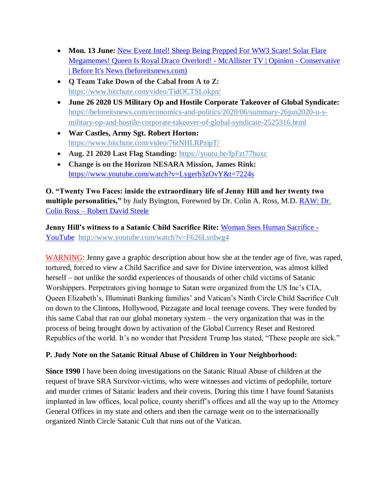- Mon. 13 June: New Event Intel! Sheep Being Prepped For WW3 Scare! Solar Flare [Megamemes! Queen Is Royal Draco Overlord! -](https://beforeitsnews.com/opinion-conservative/2022/06/new-event-intel-sheep-being-prepped-4-ww3-scare-solar-flare-megamemes-queen-is-royal-draco-overlord-mcallister-tv-3632392.html) McAllister TV | Opinion - Conservative [| Before It's News \(beforeitsnews.com\)](https://beforeitsnews.com/opinion-conservative/2022/06/new-event-intel-sheep-being-prepped-4-ww3-scare-solar-flare-megamemes-queen-is-royal-draco-overlord-mcallister-tv-3632392.html)
- **Q Team Take Down of the Cabal from A to Z:** <https://www.bitchute.com/video/TidOCTSLokpn/>
- **June 26 2020 US Military Op and Hostile Corporate Takeover of Global Syndicate:** [https://beforeitsnews.com/economics-and-politics/2020/06/summary-26jun2020-u-s](https://beforeitsnews.com/economics-and-politics/2020/06/summary-26jun2020-u-s-military-op-and-hostile-corporate-takeover-of-global-syndicate-2525316.html)[military-op-and-hostile-corporate-takeover-of-global-syndicate-2525316.html](https://beforeitsnews.com/economics-and-politics/2020/06/summary-26jun2020-u-s-military-op-and-hostile-corporate-takeover-of-global-syndicate-2525316.html)
- **War Castles, Army Sgt. Robert Horton:** <https://www.bitchute.com/video/76tNHLRPzipT/>
- **Aug. 21 2020 Last Flag Standing:** <https://youtu.be/fpFzt77huxc>
- **Change is on the Horizon NESARA Mission, James Rink:**  <https://www.youtube.com/watch?v=Lygerb3zOvY&t=7224s>

**O. "Twenty Two Faces: inside the extraordinary life of Jenny Hill and her twenty two multiple personalities,"** by Judy Byington, Foreword by Dr. Colin A. Ross, M.D. [RAW: Dr.](https://robertdavidsteele.com/dr-colin-ross/)  Colin Ross – [Robert David Steele](https://robertdavidsteele.com/dr-colin-ross/)

**Jenny Hill's witness to a Satanic Child Sacrifice Rite:** [Woman Sees Human Sacrifice -](https://www.youtube.com/watch?v=F626Lsrdwg4) [YouTube http://www.youtube.com/watch?v=F626Lsrdwg4](https://www.youtube.com/watch?v=F626Lsrdwg4)

WARNING: Jenny gave a graphic description about how she at the tender age of five, was raped, tortured, forced to view a Child Sacrifice and save for Divine intervention, was almost killed herself – not unlike the sordid experiences of thousands of other child victims of Satanic Worshippers. Perpetrators giving homage to Satan were organized from the US Inc"s CIA, Queen Elizabeth"s, Illuminati Banking families" and Vatican"s Ninth Circle Child Sacrifice Cult on down to the Clintons, Hollywood, Pizzagate and local teenage covens. They were funded by this same Cabal that ran our global monetary system – the very organization that was in the process of being brought down by activation of the Global Currency Reset and Restored Republics of the world. It's no wonder that President Trump has stated, "These people are sick."

## **P. Judy Note on the Satanic Ritual Abuse of Children in Your Neighborhood:**

**Since 1990** I have been doing investigations on the Satanic Ritual Abuse of children at the request of brave SRA Survivor-victims, who were witnesses and victims of pedophile, torture and murder crimes of Satanic leaders and their covens. During this time I have found Satanists implanted in law offices, local police, county sheriff's offices and all the way up to the Attorney General Offices in my state and others and then the carnage went on to the internationally organized Ninth Circle Satanic Cult that runs out of the Vatican.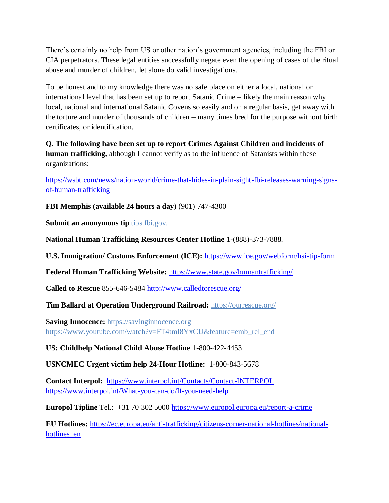There's certainly no help from US or other nation's government agencies, including the FBI or CIA perpetrators. These legal entities successfully negate even the opening of cases of the ritual abuse and murder of children, let alone do valid investigations.

To be honest and to my knowledge there was no safe place on either a local, national or international level that has been set up to report Satanic Crime – likely the main reason why local, national and international Satanic Covens so easily and on a regular basis, get away with the torture and murder of thousands of children – many times bred for the purpose without birth certificates, or identification.

**Q. The following have been set up to report Crimes Against Children and incidents of human trafficking,** although I cannot verify as to the influence of Satanists within these organizations:

[https://wsbt.com/news/nation-world/crime-that-hides-in-plain-sight-fbi-releases-warning-signs](https://wsbt.com/news/nation-world/crime-that-hides-in-plain-sight-fbi-releases-warning-signs-of-human-trafficking?video=e56ba52a1b9d45ad8c8a033fd83fe480&jwsource=cl)[of-human-trafficking](https://wsbt.com/news/nation-world/crime-that-hides-in-plain-sight-fbi-releases-warning-signs-of-human-trafficking?video=e56ba52a1b9d45ad8c8a033fd83fe480&jwsource=cl)

**FBI Memphis (available 24 hours a day)** (901) 747-4300

**Submit an anonymous tip tips.fbi.gov.** 

**National Human Trafficking Resources Center Hotline** 1-(888)-373-7888.

**U.S. Immigration/ Customs Enforcement (ICE):** <https://www.ice.gov/webform/hsi-tip-form>

**Federal Human Trafficking Website:** <https://www.state.gov/humantrafficking/>

**Called to Rescue** 855-646-5484<http://www.calledtorescue.org/>

**Tim Ballard at Operation Underground Railroad:** <https://ourrescue.org/>

**Saving Innocence:** [https://savinginnocence.org](https://savinginnocence.org/) [https://www.youtube.com/watch?v=FT4tmI8YxCU&feature=emb\\_rel\\_end](https://www.youtube.com/watch?v=FT4tmI8YxCU&feature=emb_rel_end)

**US: Childhelp National Child Abuse Hotline** 1-800-422-4453

**USNCMEC Urgent victim help 24-Hour Hotline:** 1-800-843-5678

**Contact Interpol:** <https://www.interpol.int/Contacts/Contact-INTERPOL> <https://www.interpol.int/What-you-can-do/If-you-need-help>

**Europol Tipline** Tel.: +31 70 302 5000<https://www.europol.europa.eu/report-a-crime>

**EU Hotlines:** [https://ec.europa.eu/anti-trafficking/citizens-corner-national-hotlines/national](https://ec.europa.eu/anti-trafficking/citizens-corner-national-hotlines/national-hotlines_en)hotlines en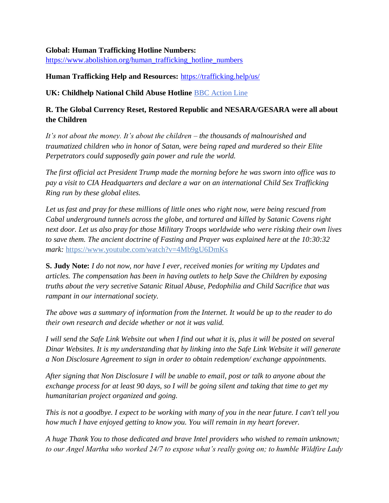#### **Global: Human Trafficking Hotline Numbers:**

[https://www.abolishion.org/human\\_trafficking\\_hotline\\_numbers](https://www.abolishion.org/human_trafficking_hotline_numbers)\_

#### **Human Trafficking Help and Resources:** <https://trafficking.help/us/>

**UK: Childhelp National Child Abuse Hotline** [BBC Action Line](https://www.bbc.co.uk/actionline)

### **R. The Global Currency Reset, Restored Republic and NESARA/GESARA were all about the Children**

*It's not about the money. It's about the children – the thousands of malnourished and traumatized children who in honor of Satan, were being raped and murdered so their Elite Perpetrators could supposedly gain power and rule the world.* 

*The first official act President Trump made the morning before he was sworn into office was to pay a visit to CIA Headquarters and declare a war on an international Child Sex Trafficking Ring run by these global elites.* 

*Let us fast and pray for these millions of little ones who right now, were being rescued from Cabal underground tunnels across the globe, and tortured and killed by Satanic Covens right next door. Let us also pray for those Military Troops worldwide who were risking their own lives to save them. The ancient doctrine of Fasting and Prayer was explained here at the 10:30:32 mark:* <https://www.youtube.com/watch?v=4Mb9gU6DmKs>

**S. Judy Note:** *I do not now, nor have I ever, received monies for writing my Updates and articles. The compensation has been in having outlets to help Save the Children by exposing truths about the very secretive Satanic Ritual Abuse, Pedophilia and Child Sacrifice that was rampant in our international society.*

*The above was a summary of information from the Internet. It would be up to the reader to do their own research and decide whether or not it was valid.*

*I will send the Safe Link Website out when I find out what it is, plus it will be posted on several Dinar Websites. It is my understanding that by linking into the Safe Link Website it will generate a Non Disclosure Agreement to sign in order to obtain redemption/ exchange appointments.*

*After signing that Non Disclosure I will be unable to email, post or talk to anyone about the exchange process for at least 90 days, so I will be going silent and taking that time to get my humanitarian project organized and going.*

*This is not a goodbye. I expect to be working with many of you in the near future. I can't tell you how much I have enjoyed getting to know you. You will remain in my heart forever.*

*A huge Thank You to those dedicated and brave Intel providers who wished to remain unknown; to our Angel Martha who worked 24/7 to expose what's really going on; to humble Wildfire Lady*